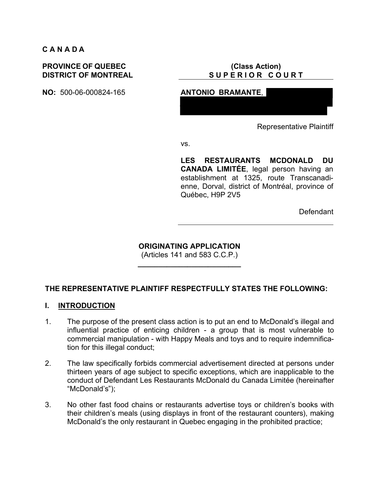#### **C A N A D A**

#### **PROVINCE OF QUEBEC DISTRICT OF MONTREAL**

**NO:** 500-06-000824-165 **ANTONIO BRAMANTE**,

## **(Class Action) S U P E R I O R C O U R T**

Representative Plaintiff

vs.

**LES RESTAURANTS MCDONALD DU CANADA LIMITÉE**, legal person having an establishment at 1325, route Transcanadienne, Dorval, district of Montréal, province of Québec, H9P 2V5

Defendant

**ORIGINATING APPLICATION**

(Articles 141 and 583 C.C.P.) **\_\_\_\_\_\_\_\_\_\_\_\_\_\_\_\_\_\_\_\_\_\_\_\_\_**

## **THE REPRESENTATIVE PLAINTIFF RESPECTFULLY STATES THE FOLLOWING:**

#### **I. INTRODUCTION**

- 1. The purpose of the present class action is to put an end to McDonald's illegal and influential practice of enticing children - a group that is most vulnerable to commercial manipulation - with Happy Meals and toys and to require indemnification for this illegal conduct;
- 2. The law specifically forbids commercial advertisement directed at persons under thirteen years of age subject to specific exceptions, which are inapplicable to the conduct of Defendant Les Restaurants McDonald du Canada Limitée (hereinafter "McDonald's");
- 3. No other fast food chains or restaurants advertise toys or children's books with their children's meals (using displays in front of the restaurant counters), making McDonald's the only restaurant in Quebec engaging in the prohibited practice;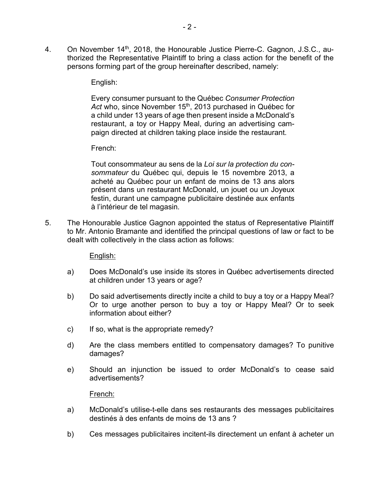4. On November 14<sup>th</sup>, 2018, the Honourable Justice Pierre-C. Gagnon, J.S.C., authorized the Representative Plaintiff to bring a class action for the benefit of the persons forming part of the group hereinafter described, namely:

#### English:

Every consumer pursuant to the Québec *Consumer Protection*  Act who, since November 15<sup>th</sup>, 2013 purchased in Québec for a child under 13 years of age then present inside a McDonald's restaurant, a toy or Happy Meal, during an advertising campaign directed at children taking place inside the restaurant.

#### French:

Tout consommateur au sens de la *Loi sur la protection du consommateur* du Québec qui, depuis le 15 novembre 2013, a acheté au Québec pour un enfant de moins de 13 ans alors présent dans un restaurant McDonald, un jouet ou un Joyeux festin, durant une campagne publicitaire destinée aux enfants à l'intérieur de tel magasin.

5. The Honourable Justice Gagnon appointed the status of Representative Plaintiff to Mr. Antonio Bramante and identified the principal questions of law or fact to be dealt with collectively in the class action as follows:

#### English:

- a) Does McDonald's use inside its stores in Québec advertisements directed at children under 13 years or age?
- b) Do said advertisements directly incite a child to buy a toy or a Happy Meal? Or to urge another person to buy a toy or Happy Meal? Or to seek information about either?
- c) If so, what is the appropriate remedy?
- d) Are the class members entitled to compensatory damages? To punitive damages?
- e) Should an injunction be issued to order McDonald's to cease said advertisements?

#### French:

- a) McDonald's utilise-t-elle dans ses restaurants des messages publicitaires destinés à des enfants de moins de 13 ans ?
- b) Ces messages publicitaires incitent-ils directement un enfant à acheter un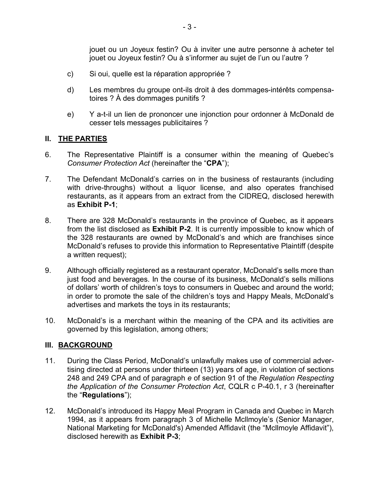jouet ou un Joyeux festin? Ou à inviter une autre personne à acheter tel jouet ou Joyeux festin? Ou à s'informer au sujet de l'un ou l'autre ?

- c) Si oui, quelle est la réparation appropriée ?
- d) Les membres du groupe ont-ils droit à des dommages-intérêts compensatoires ? À des dommages punitifs ?
- e) Y a-t-il un lien de prononcer une injonction pour ordonner à McDonald de cesser tels messages publicitaires ?

# **II. THE PARTIES**

- 6. The Representative Plaintiff is a consumer within the meaning of Quebec's *Consumer Protection Act* (hereinafter the "**CPA**");
- 7. The Defendant McDonald's carries on in the business of restaurants (including with drive-throughs) without a liquor license, and also operates franchised restaurants, as it appears from an extract from the CIDREQ, disclosed herewith as **Exhibit P-1**;
- 8. There are 328 McDonald's restaurants in the province of Quebec, as it appears from the list disclosed as **Exhibit P-2**. It is currently impossible to know which of the 328 restaurants are owned by McDonald's and which are franchises since McDonald's refuses to provide this information to Representative Plaintiff (despite a written request);
- 9. Although officially registered as a restaurant operator, McDonald's sells more than just food and beverages. In the course of its business, McDonald's sells millions of dollars' worth of children's toys to consumers in Quebec and around the world; in order to promote the sale of the children's toys and Happy Meals, McDonald's advertises and markets the toys in its restaurants;
- 10. McDonald's is a merchant within the meaning of the CPA and its activities are governed by this legislation, among others;

## **III. BACKGROUND**

- 11. During the Class Period, McDonald's unlawfully makes use of commercial advertising directed at persons under thirteen (13) years of age, in violation of sections 248 and 249 CPA and of paragraph *e* of section 91 of the *Regulation Respecting the Application of the Consumer Protection Act*, CQLR c P-40.1, r 3 (hereinafter the "**Regulations**");
- 12. McDonald's introduced its Happy Meal Program in Canada and Quebec in March 1994, as it appears from paragraph 3 of Michelle Mcllmoyle's (Senior Manager, National Marketing for McDonald's) Amended Affidavit (the "Mcllmoyle Affidavit"), disclosed herewith as **Exhibit P-3**;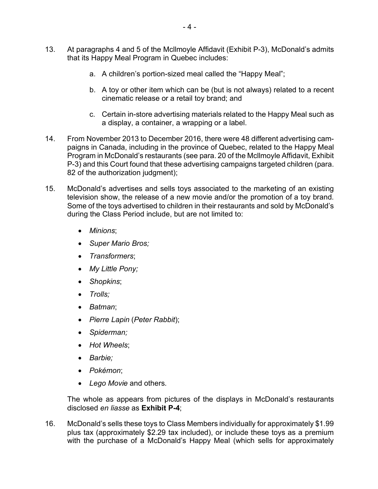- 13. At paragraphs 4 and 5 of the Mcllmoyle Affidavit (Exhibit P-3), McDonald's admits that its Happy Meal Program in Quebec includes:
	- a. A children's portion-sized meal called the "Happy Meal";
	- b. A toy or other item which can be (but is not always) related to a recent cinematic release or a retail toy brand; and
	- c. Certain in-store advertising materials related to the Happy Meal such as a display, a container, a wrapping or a label.
- 14. From November 2013 to December 2016, there were 48 different advertising campaigns in Canada, including in the province of Quebec, related to the Happy Meal Program in McDonald's restaurants (see para. 20 of the Mcllmoyle Affidavit, Exhibit P-3) and this Court found that these advertising campaigns targeted children (para. 82 of the authorization judgment);
- 15. McDonald's advertises and sells toys associated to the marketing of an existing television show, the release of a new movie and/or the promotion of a toy brand. Some of the toys advertised to children in their restaurants and sold by McDonald's during the Class Period include, but are not limited to:
	- *Minions*;
	- *Super Mario Bros;*
	- *Transformers*;
	- *My Little Pony;*
	- *Shopkins*;
	- *Trolls;*
	- *Batman*;
	- *Pierre Lapin* (*Peter Rabbit*);
	- *Spiderman;*
	- *Hot Wheels*;
	- *Barbie;*
	- *Pokémon*;
	- *Lego Movie* and others.

The whole as appears from pictures of the displays in McDonald's restaurants disclosed *en liasse* as **Exhibit P-4**;

16. McDonald's sells these toys to Class Members individually for approximately \$1.99 plus tax (approximately \$2.29 tax included), or include these toys as a premium with the purchase of a McDonald's Happy Meal (which sells for approximately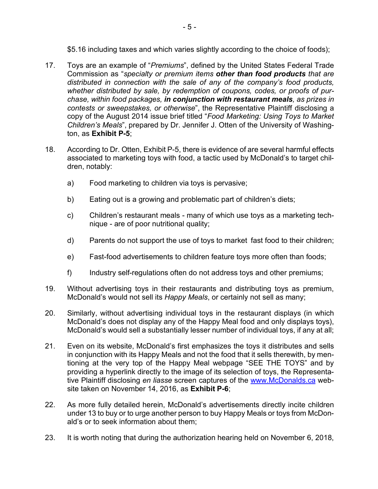\$5.16 including taxes and which varies slightly according to the choice of foods);

- 17. Toys are an example of "*Premiums*", defined by the United States Federal Trade Commission as "*specialty or premium items other than food products that are distributed in connection with the sale of any of the company's food products, whether distributed by sale, by redemption of coupons, codes, or proofs of purchase, within food packages, in conjunction with restaurant meals, as prizes in contests or sweepstakes, or otherwise*", the Representative Plaintiff disclosing a copy of the August 2014 issue brief titled "*Food Marketing: Using Toys to Market Children's Meals*", prepared by Dr. Jennifer J. Otten of the University of Washington, as **Exhibit P-5**;
- 18. According to Dr. Otten, Exhibit P-5, there is evidence of are several harmful effects associated to marketing toys with food, a tactic used by McDonald's to target children, notably:
	- a) Food marketing to children via toys is pervasive;
	- b) Eating out is a growing and problematic part of children's diets;
	- c) Children's restaurant meals many of which use toys as a marketing technique - are of poor nutritional quality;
	- d) Parents do not support the use of toys to market fast food to their children;
	- e) Fast-food advertisements to children feature toys more often than foods;
	- f) Industry self-regulations often do not address toys and other premiums;
- 19. Without advertising toys in their restaurants and distributing toys as premium, McDonald's would not sell its *Happy Meals*, or certainly not sell as many;
- 20. Similarly, without advertising individual toys in the restaurant displays (in which McDonald's does not display any of the Happy Meal food and only displays toys), McDonald's would sell a substantially lesser number of individual toys, if any at all;
- 21. Even on its website, McDonald's first emphasizes the toys it distributes and sells in conjunction with its Happy Meals and not the food that it sells therewith, by mentioning at the very top of the Happy Meal webpage "SEE THE TOYS" and by providing a hyperlink directly to the image of its selection of toys, the Representative Plaintiff disclosing *en liasse* screen captures of the www.McDonalds.ca website taken on November 14, 2016, as **Exhibit P-6**;
- 22. As more fully detailed herein, McDonald's advertisements directly incite children under 13 to buy or to urge another person to buy Happy Meals or toys from McDonald's or to seek information about them;
- 23. It is worth noting that during the authorization hearing held on November 6, 2018,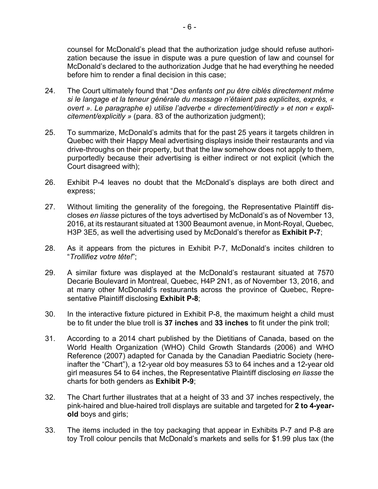counsel for McDonald's plead that the authorization judge should refuse authorization because the issue in dispute was a pure question of law and counsel for McDonald's declared to the authorization Judge that he had everything he needed before him to render a final decision in this case;

- 24. The Court ultimately found that "*Des enfants ont pu être ciblés directement même si le langage et la teneur générale du message n'étaient pas explicites, exprès, « overt ». Le paragraphe e) utilise l'adverbe « directement/directly » et non « explicitement/explicitly »* (para. 83 of the authorization judgment);
- 25. To summarize, McDonald's admits that for the past 25 years it targets children in Quebec with their Happy Meal advertising displays inside their restaurants and via drive-throughs on their property, but that the law somehow does not apply to them, purportedly because their advertising is either indirect or not explicit (which the Court disagreed with);
- 26. Exhibit P-4 leaves no doubt that the McDonald's displays are both direct and express;
- 27. Without limiting the generality of the foregoing, the Representative Plaintiff discloses *en liasse* pictures of the toys advertised by McDonald's as of November 13, 2016, at its restaurant situated at 1300 Beaumont avenue, in Mont-Royal, Quebec, H3P 3E5, as well the advertising used by McDonald's therefor as **Exhibit P-7**;
- 28. As it appears from the pictures in Exhibit P-7, McDonald's incites children to "*Trollifiez votre tête!*";
- 29. A similar fixture was displayed at the McDonald's restaurant situated at 7570 Decarie Boulevard in Montreal, Quebec, H4P 2N1, as of November 13, 2016, and at many other McDonald's restaurants across the province of Quebec, Representative Plaintiff disclosing **Exhibit P-8**;
- 30. In the interactive fixture pictured in Exhibit P-8, the maximum height a child must be to fit under the blue troll is **37 inches** and **33 inches** to fit under the pink troll;
- 31. According to a 2014 chart published by the Dietitians of Canada, based on the World Health Organization (WHO) Child Growth Standards (2006) and WHO Reference (2007) adapted for Canada by the Canadian Paediatric Society (hereinafter the "Chart"), a 12-year old boy measures 53 to 64 inches and a 12-year old girl measures 54 to 64 inches, the Representative Plaintiff disclosing *en liasse* the charts for both genders as **Exhibit P-9**;
- 32. The Chart further illustrates that at a height of 33 and 37 inches respectively, the pink-haired and blue-haired troll displays are suitable and targeted for **2 to 4-yearold** boys and girls;
- 33. The items included in the toy packaging that appear in Exhibits P-7 and P-8 are toy Troll colour pencils that McDonald's markets and sells for \$1.99 plus tax (the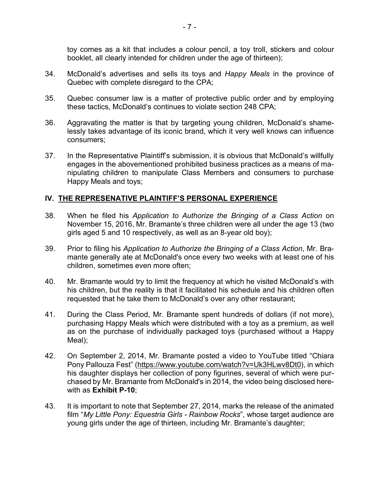toy comes as a kit that includes a colour pencil, a toy troll, stickers and colour booklet, all clearly intended for children under the age of thirteen);

- 34. McDonald's advertises and sells its toys and *Happy Meals* in the province of Quebec with complete disregard to the CPA;
- 35. Quebec consumer law is a matter of protective public order and by employing these tactics, McDonald's continues to violate section 248 CPA;
- 36. Aggravating the matter is that by targeting young children, McDonald's shamelessly takes advantage of its iconic brand, which it very well knows can influence consumers;
- 37. In the Representative Plaintiff's submission, it is obvious that McDonald's willfully engages in the abovementioned prohibited business practices as a means of manipulating children to manipulate Class Members and consumers to purchase Happy Meals and toys;

# **IV. THE REPRESENATIVE PLAINTIFF'S PERSONAL EXPERIENCE**

- 38. When he filed his *Application to Authorize the Bringing of a Class Action* on November 15, 2016, Mr. Bramante's three children were all under the age 13 (two girls aged 5 and 10 respectively, as well as an 8-year old boy);
- 39. Prior to filing his *Application to Authorize the Bringing of a Class Action*, Mr. Bramante generally ate at McDonald's once every two weeks with at least one of his children, sometimes even more often;
- 40. Mr. Bramante would try to limit the frequency at which he visited McDonald's with his children, but the reality is that it facilitated his schedule and his children often requested that he take them to McDonald's over any other restaurant;
- 41. During the Class Period, Mr. Bramante spent hundreds of dollars (if not more), purchasing Happy Meals which were distributed with a toy as a premium, as well as on the purchase of individually packaged toys (purchased without a Happy Meal);
- 42. On September 2, 2014, Mr. Bramante posted a video to YouTube titled "Chiara Pony Pallouza Fest" (https://www.youtube.com/watch?v=Uk3HLwv8Dt0), in which his daughter displays her collection of pony figurines, several of which were purchased by Mr. Bramante from McDonald's in 2014, the video being disclosed herewith as **Exhibit P-10**;
- 43. It is important to note that September 27, 2014, marks the release of the animated film "*My Little Pony: Equestria Girls - Rainbow Rocks*", whose target audience are young girls under the age of thirteen, including Mr. Bramante's daughter;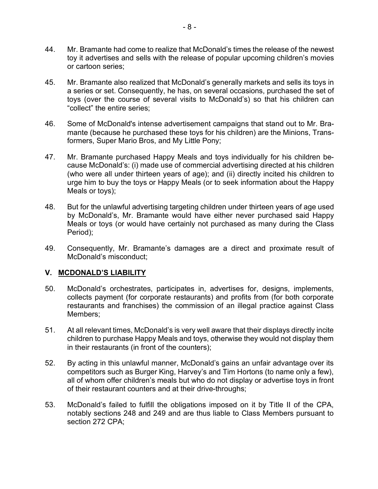- 44. Mr. Bramante had come to realize that McDonald's times the release of the newest toy it advertises and sells with the release of popular upcoming children's movies or cartoon series;
- 45. Mr. Bramante also realized that McDonald's generally markets and sells its toys in a series or set. Consequently, he has, on several occasions, purchased the set of toys (over the course of several visits to McDonald's) so that his children can "collect" the entire series;
- 46. Some of McDonald's intense advertisement campaigns that stand out to Mr. Bramante (because he purchased these toys for his children) are the Minions, Transformers, Super Mario Bros, and My Little Pony;
- 47. Mr. Bramante purchased Happy Meals and toys individually for his children because McDonald's: (i) made use of commercial advertising directed at his children (who were all under thirteen years of age); and (ii) directly incited his children to urge him to buy the toys or Happy Meals (or to seek information about the Happy Meals or toys);
- 48. But for the unlawful advertising targeting children under thirteen years of age used by McDonald's, Mr. Bramante would have either never purchased said Happy Meals or toys (or would have certainly not purchased as many during the Class Period);
- 49. Consequently, Mr. Bramante's damages are a direct and proximate result of McDonald's misconduct;

## **V. MCDONALD'S LIABILITY**

- 50. McDonald's orchestrates, participates in, advertises for, designs, implements, collects payment (for corporate restaurants) and profits from (for both corporate restaurants and franchises) the commission of an illegal practice against Class Members;
- 51. At all relevant times, McDonald's is very well aware that their displays directly incite children to purchase Happy Meals and toys, otherwise they would not display them in their restaurants (in front of the counters);
- 52. By acting in this unlawful manner, McDonald's gains an unfair advantage over its competitors such as Burger King, Harvey's and Tim Hortons (to name only a few), all of whom offer children's meals but who do not display or advertise toys in front of their restaurant counters and at their drive-throughs;
- 53. McDonald's failed to fulfill the obligations imposed on it by Title II of the CPA, notably sections 248 and 249 and are thus liable to Class Members pursuant to section 272 CPA;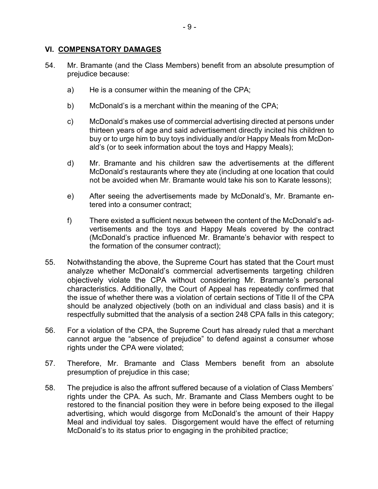## **VI. COMPENSATORY DAMAGES**

- 54. Mr. Bramante (and the Class Members) benefit from an absolute presumption of prejudice because:
	- a) He is a consumer within the meaning of the CPA;
	- b) McDonald's is a merchant within the meaning of the CPA;
	- c) McDonald's makes use of commercial advertising directed at persons under thirteen years of age and said advertisement directly incited his children to buy or to urge him to buy toys individually and/or Happy Meals from McDonald's (or to seek information about the toys and Happy Meals);
	- d) Mr. Bramante and his children saw the advertisements at the different McDonald's restaurants where they ate (including at one location that could not be avoided when Mr. Bramante would take his son to Karate lessons);
	- e) After seeing the advertisements made by McDonald's, Mr. Bramante entered into a consumer contract;
	- f) There existed a sufficient nexus between the content of the McDonald's advertisements and the toys and Happy Meals covered by the contract (McDonald's practice influenced Mr. Bramante's behavior with respect to the formation of the consumer contract);
- 55. Notwithstanding the above, the Supreme Court has stated that the Court must analyze whether McDonald's commercial advertisements targeting children objectively violate the CPA without considering Mr. Bramante's personal characteristics. Additionally, the Court of Appeal has repeatedly confirmed that the issue of whether there was a violation of certain sections of Title II of the CPA should be analyzed objectively (both on an individual and class basis) and it is respectfully submitted that the analysis of a section 248 CPA falls in this category;
- 56. For a violation of the CPA, the Supreme Court has already ruled that a merchant cannot argue the "absence of prejudice" to defend against a consumer whose rights under the CPA were violated;
- 57. Therefore, Mr. Bramante and Class Members benefit from an absolute presumption of prejudice in this case;
- 58. The prejudice is also the affront suffered because of a violation of Class Members' rights under the CPA. As such, Mr. Bramante and Class Members ought to be restored to the financial position they were in before being exposed to the illegal advertising, which would disgorge from McDonald's the amount of their Happy Meal and individual toy sales. Disgorgement would have the effect of returning McDonald's to its status prior to engaging in the prohibited practice;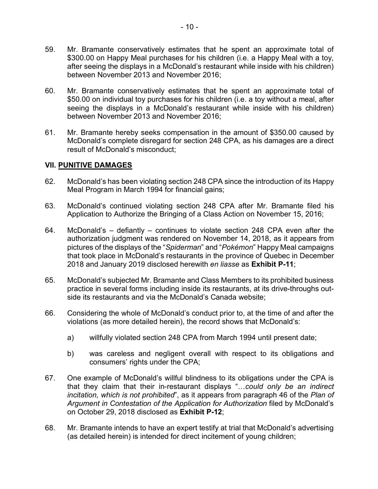- 59. Mr. Bramante conservatively estimates that he spent an approximate total of \$300.00 on Happy Meal purchases for his children (i.e. a Happy Meal with a toy, after seeing the displays in a McDonald's restaurant while inside with his children) between November 2013 and November 2016;
- 60. Mr. Bramante conservatively estimates that he spent an approximate total of \$50.00 on individual toy purchases for his children (i.e. a toy without a meal, after seeing the displays in a McDonald's restaurant while inside with his children) between November 2013 and November 2016;
- 61. Mr. Bramante hereby seeks compensation in the amount of \$350.00 caused by McDonald's complete disregard for section 248 CPA, as his damages are a direct result of McDonald's misconduct;

# **VII. PUNITIVE DAMAGES**

- 62. McDonald's has been violating section 248 CPA since the introduction of its Happy Meal Program in March 1994 for financial gains;
- 63. McDonald's continued violating section 248 CPA after Mr. Bramante filed his Application to Authorize the Bringing of a Class Action on November 15, 2016;
- 64. McDonald's defiantly continues to violate section 248 CPA even after the authorization judgment was rendered on November 14, 2018, as it appears from pictures of the displays of the "*Spiderman*" and "*Pokémon*" Happy Meal campaigns that took place in McDonald's restaurants in the province of Quebec in December 2018 and January 2019 disclosed herewith *en liasse* as **Exhibit P-11**;
- 65. McDonald's subjected Mr. Bramante and Class Members to its prohibited business practice in several forms including inside its restaurants, at its drive-throughs outside its restaurants and via the McDonald's Canada website;
- 66. Considering the whole of McDonald's conduct prior to, at the time of and after the violations (as more detailed herein), the record shows that McDonald's:
	- a) willfully violated section 248 CPA from March 1994 until present date;
	- b) was careless and negligent overall with respect to its obligations and consumers' rights under the CPA;
- 67. One example of McDonald's willful blindness to its obligations under the CPA is that they claim that their in-restaurant displays "…*could only be an indirect incitation, which is not prohibited*", as it appears from paragraph 46 of the *Plan of Argument in Contestation of the Application for Authorization* filed by McDonald's on October 29, 2018 disclosed as **Exhibit P-12**;
- 68. Mr. Bramante intends to have an expert testify at trial that McDonald's advertising (as detailed herein) is intended for direct incitement of young children;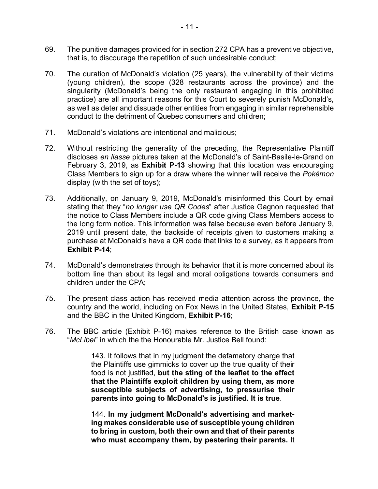- 69. The punitive damages provided for in section 272 CPA has a preventive objective, that is, to discourage the repetition of such undesirable conduct;
- 70. The duration of McDonald's violation (25 years), the vulnerability of their victims (young children), the scope (328 restaurants across the province) and the singularity (McDonald's being the only restaurant engaging in this prohibited practice) are all important reasons for this Court to severely punish McDonald's, as well as deter and dissuade other entities from engaging in similar reprehensible conduct to the detriment of Quebec consumers and children;
- 71. McDonald's violations are intentional and malicious;
- 72. Without restricting the generality of the preceding, the Representative Plaintiff discloses *en liasse* pictures taken at the McDonald's of Saint-Basile-le-Grand on February 3, 2019, as **Exhibit P-13** showing that this location was encouraging Class Members to sign up for a draw where the winner will receive the *Pokémon* display (with the set of toys);
- 73. Additionally, on January 9, 2019, McDonald's misinformed this Court by email stating that they "*no longer use QR Codes*" after Justice Gagnon requested that the notice to Class Members include a QR code giving Class Members access to the long form notice. This information was false because even before January 9, 2019 until present date, the backside of receipts given to customers making a purchase at McDonald's have a QR code that links to a survey, as it appears from **Exhibit P-14**;
- 74. McDonald's demonstrates through its behavior that it is more concerned about its bottom line than about its legal and moral obligations towards consumers and children under the CPA;
- 75. The present class action has received media attention across the province, the country and the world, including on Fox News in the United States, **Exhibit P-15** and the BBC in the United Kingdom, **Exhibit P-16**;
- 76. The BBC article (Exhibit P-16) makes reference to the British case known as "*McLibel*" in which the the Honourable Mr. Justice Bell found:

143. It follows that in my judgment the defamatory charge that the Plaintiffs use gimmicks to cover up the true quality of their food is not justified, **but the sting of the leaflet to the effect that the Plaintiffs exploit children by using them, as more susceptible subjects of advertising, to pressurise their parents into going to McDonald's is justified. It is true**.

144. **In my judgment McDonald's advertising and marketing makes considerable use of susceptible young children to bring in custom, both their own and that of their parents who must accompany them, by pestering their parents.** It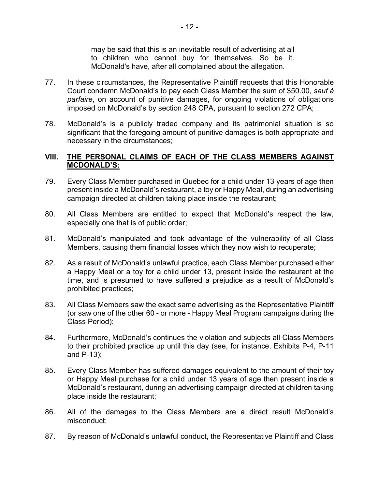may be said that this is an inevitable result of advertising at all to children who cannot buy for themselves. So be it. McDonald's have, after all complained about the allegation.

- 77. In these circumstances, the Representative Plaintiff requests that this Honorable Court condemn McDonald's to pay each Class Member the sum of \$50.00, *sauf à parfaire*, on account of punitive damages, for ongoing violations of obligations imposed on McDonald's by section 248 CPA, pursuant to section 272 CPA;
- 78. McDonald's is a publicly traded company and its patrimonial situation is so significant that the foregoing amount of punitive damages is both appropriate and necessary in the circumstances;

## **VIII. THE PERSONAL CLAIMS OF EACH OF THE CLASS MEMBERS AGAINST MCDONALD'S:**

- 79. Every Class Member purchased in Quebec for a child under 13 years of age then present inside a McDonald's restaurant, a toy or Happy Meal, during an advertising campaign directed at children taking place inside the restaurant;
- 80. All Class Members are entitled to expect that McDonald's respect the law, especially one that is of public order;
- 81. McDonald's manipulated and took advantage of the vulnerability of all Class Members, causing them financial losses which they now wish to recuperate;
- 82. As a result of McDonald's unlawful practice, each Class Member purchased either a Happy Meal or a toy for a child under 13, present inside the restaurant at the time, and is presumed to have suffered a prejudice as a result of McDonald's prohibited practices;
- 83. All Class Members saw the exact same advertising as the Representative Plaintiff (or saw one of the other 60 - or more - Happy Meal Program campaigns during the Class Period);
- 84. Furthermore, McDonald's continues the violation and subjects all Class Members to their prohibited practice up until this day (see, for instance, Exhibits P-4, P-11 and P-13);
- 85. Every Class Member has suffered damages equivalent to the amount of their toy or Happy Meal purchase for a child under 13 years of age then present inside a McDonald's restaurant, during an advertising campaign directed at children taking place inside the restaurant;
- 86. All of the damages to the Class Members are a direct result McDonald's misconduct;
- 87. By reason of McDonald's unlawful conduct, the Representative Plaintiff and Class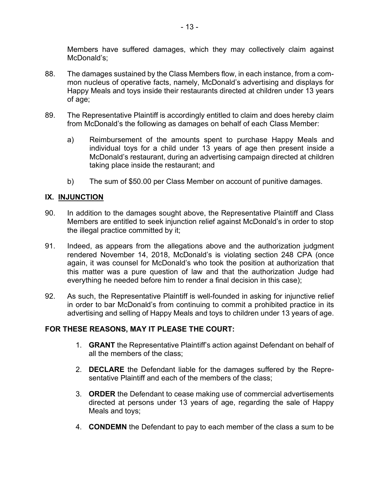Members have suffered damages, which they may collectively claim against McDonald's;

- 88. The damages sustained by the Class Members flow, in each instance, from a common nucleus of operative facts, namely, McDonald's advertising and displays for Happy Meals and toys inside their restaurants directed at children under 13 years of age;
- 89. The Representative Plaintiff is accordingly entitled to claim and does hereby claim from McDonald's the following as damages on behalf of each Class Member:
	- a) Reimbursement of the amounts spent to purchase Happy Meals and individual toys for a child under 13 years of age then present inside a McDonald's restaurant, during an advertising campaign directed at children taking place inside the restaurant; and
	- b) The sum of \$50.00 per Class Member on account of punitive damages.

# **IX. INJUNCTION**

- 90. In addition to the damages sought above, the Representative Plaintiff and Class Members are entitled to seek injunction relief against McDonald's in order to stop the illegal practice committed by it;
- 91. Indeed, as appears from the allegations above and the authorization judgment rendered November 14, 2018, McDonald's is violating section 248 CPA (once again, it was counsel for McDonald's who took the position at authorization that this matter was a pure question of law and that the authorization Judge had everything he needed before him to render a final decision in this case);
- 92. As such, the Representative Plaintiff is well-founded in asking for injunctive relief in order to bar McDonald's from continuing to commit a prohibited practice in its advertising and selling of Happy Meals and toys to children under 13 years of age.

## **FOR THESE REASONS, MAY IT PLEASE THE COURT:**

- 1. **GRANT** the Representative Plaintiff's action against Defendant on behalf of all the members of the class;
- 2. **DECLARE** the Defendant liable for the damages suffered by the Representative Plaintiff and each of the members of the class;
- 3. **ORDER** the Defendant to cease making use of commercial advertisements directed at persons under 13 years of age, regarding the sale of Happy Meals and toys;
- 4. **CONDEMN** the Defendant to pay to each member of the class a sum to be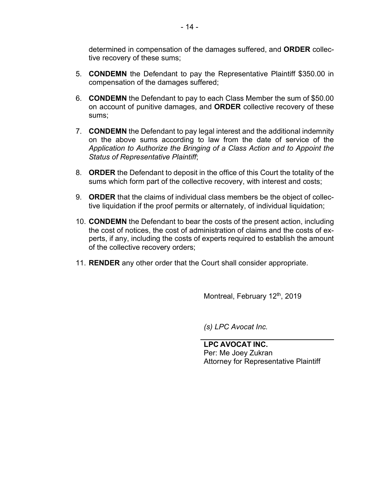determined in compensation of the damages suffered, and **ORDER** collective recovery of these sums;

- 5. **CONDEMN** the Defendant to pay the Representative Plaintiff \$350.00 in compensation of the damages suffered;
- 6. **CONDEMN** the Defendant to pay to each Class Member the sum of \$50.00 on account of punitive damages, and **ORDER** collective recovery of these sums;
- 7. **CONDEMN** the Defendant to pay legal interest and the additional indemnity on the above sums according to law from the date of service of the *Application to Authorize the Bringing of a Class Action and to Appoint the Status of Representative Plaintiff*;
- 8. **ORDER** the Defendant to deposit in the office of this Court the totality of the sums which form part of the collective recovery, with interest and costs;
- 9. **ORDER** that the claims of individual class members be the object of collective liquidation if the proof permits or alternately, of individual liquidation;
- 10. **CONDEMN** the Defendant to bear the costs of the present action, including the cost of notices, the cost of administration of claims and the costs of experts, if any, including the costs of experts required to establish the amount of the collective recovery orders;
- 11. **RENDER** any other order that the Court shall consider appropriate.

Montreal, February 12<sup>th</sup>, 2019

*(s) LPC Avocat Inc.*

**LPC AVOCAT INC.** Per: Me Joey Zukran Attorney for Representative Plaintiff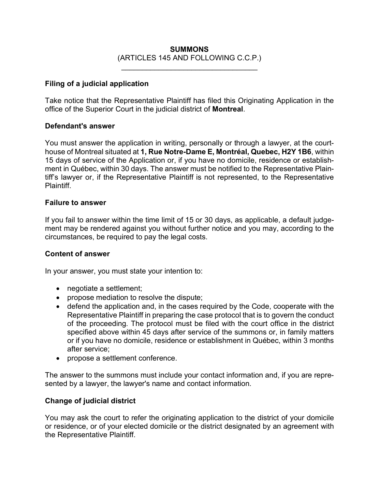# **SUMMONS** (ARTICLES 145 AND FOLLOWING C.C.P.)

\_\_\_\_\_\_\_\_\_\_\_\_\_\_\_\_\_\_\_\_\_\_\_\_\_\_\_\_\_\_\_\_\_

#### **Filing of a judicial application**

Take notice that the Representative Plaintiff has filed this Originating Application in the office of the Superior Court in the judicial district of **Montreal**.

#### **Defendant's answer**

You must answer the application in writing, personally or through a lawyer, at the courthouse of Montreal situated at **1, Rue Notre-Dame E, Montréal, Quebec, H2Y 1B6**, within 15 days of service of the Application or, if you have no domicile, residence or establishment in Québec, within 30 days. The answer must be notified to the Representative Plaintiff's lawyer or, if the Representative Plaintiff is not represented, to the Representative Plaintiff.

#### **Failure to answer**

If you fail to answer within the time limit of 15 or 30 days, as applicable, a default judgement may be rendered against you without further notice and you may, according to the circumstances, be required to pay the legal costs.

## **Content of answer**

In your answer, you must state your intention to:

- negotiate a settlement;
- propose mediation to resolve the dispute;
- defend the application and, in the cases required by the Code, cooperate with the Representative Plaintiff in preparing the case protocol that is to govern the conduct of the proceeding. The protocol must be filed with the court office in the district specified above within 45 days after service of the summons or, in family matters or if you have no domicile, residence or establishment in Québec, within 3 months after service;
- propose a settlement conference.

The answer to the summons must include your contact information and, if you are represented by a lawyer, the lawyer's name and contact information.

## **Change of judicial district**

You may ask the court to refer the originating application to the district of your domicile or residence, or of your elected domicile or the district designated by an agreement with the Representative Plaintiff.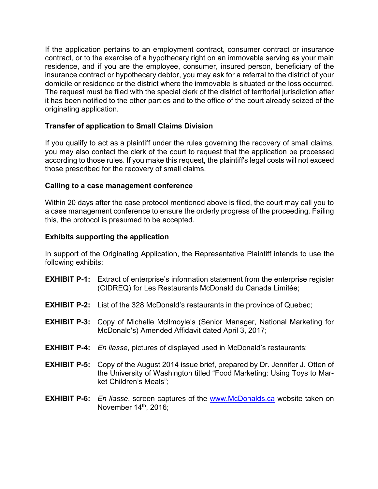If the application pertains to an employment contract, consumer contract or insurance contract, or to the exercise of a hypothecary right on an immovable serving as your main residence, and if you are the employee, consumer, insured person, beneficiary of the insurance contract or hypothecary debtor, you may ask for a referral to the district of your domicile or residence or the district where the immovable is situated or the loss occurred. The request must be filed with the special clerk of the district of territorial jurisdiction after it has been notified to the other parties and to the office of the court already seized of the originating application.

# **Transfer of application to Small Claims Division**

If you qualify to act as a plaintiff under the rules governing the recovery of small claims, you may also contact the clerk of the court to request that the application be processed according to those rules. If you make this request, the plaintiff's legal costs will not exceed those prescribed for the recovery of small claims.

## **Calling to a case management conference**

Within 20 days after the case protocol mentioned above is filed, the court may call you to a case management conference to ensure the orderly progress of the proceeding. Failing this, the protocol is presumed to be accepted.

## **Exhibits supporting the application**

In support of the Originating Application, the Representative Plaintiff intends to use the following exhibits:

- **EXHIBIT P-1:** Extract of enterprise's information statement from the enterprise register (CIDREQ) for Les Restaurants McDonald du Canada Limitée;
- **EXHIBIT P-2:** List of the 328 McDonald's restaurants in the province of Quebec;
- **EXHIBIT P-3:** Copy of Michelle Mcllmoyle's (Senior Manager, National Marketing for McDonald's) Amended Affidavit dated April 3, 2017;
- **EXHIBIT P-4:** *En liasse*, pictures of displayed used in McDonald's restaurants;
- **EXHIBIT P-5:** Copy of the August 2014 issue brief, prepared by Dr. Jennifer J. Otten of the University of Washington titled "Food Marketing: Using Toys to Market Children's Meals";
- **EXHIBIT P-6:** *En liasse*, screen captures of the www.McDonalds.ca website taken on November  $14<sup>th</sup>$ , 2016;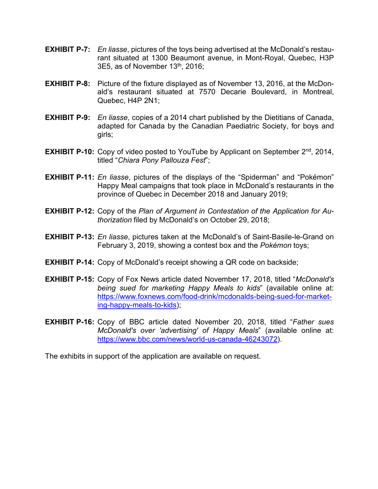- **EXHIBIT P-7:** *En liasse*, pictures of the toys being advertised at the McDonald's restaurant situated at 1300 Beaumont avenue, in Mont-Royal, Quebec, H3P 3E5, as of November  $13<sup>th</sup>$ , 2016;
- **EXHIBIT P-8:** Picture of the fixture displayed as of November 13, 2016, at the McDonald's restaurant situated at 7570 Decarie Boulevard, in Montreal, Quebec, H4P 2N1;
- **EXHIBIT P-9:** *En liasse*, copies of a 2014 chart published by the Dietitians of Canada, adapted for Canada by the Canadian Paediatric Society, for boys and girls;
- **EXHIBIT P-10:** Copy of video posted to YouTube by Applicant on September 2<sup>nd</sup>, 2014, titled "*Chiara Pony Pallouza Fest*";
- **EXHIBIT P-11:** *En liasse*, pictures of the displays of the "Spiderman" and "Pokémon" Happy Meal campaigns that took place in McDonald's restaurants in the province of Quebec in December 2018 and January 2019;
- **EXHIBIT P-12:** Copy of the *Plan of Argument in Contestation of the Application for Authorization* filed by McDonald's on October 29, 2018;
- **EXHIBIT P-13:** *En liasse*, pictures taken at the McDonald's of Saint-Basile-le-Grand on February 3, 2019, showing a contest box and the *Pokémon* toys;
- **EXHIBIT P-14:** Copy of McDonald's receipt showing a QR code on backside;
- **EXHIBIT P-15:** Copy of Fox News article dated November 17, 2018, titled "*McDonald's being sued for marketing Happy Meals to kids*" (available online at: https://www.foxnews.com/food-drink/mcdonalds-being-sued-for-marketing-happy-meals-to-kids);
- **EXHIBIT P-16:** Copy of BBC article dated November 20, 2018, titled "*Father sues McDonald's over 'advertising' of Happy Meals*" (available online at: https://www.bbc.com/news/world-us-canada-46243072).

The exhibits in support of the application are available on request.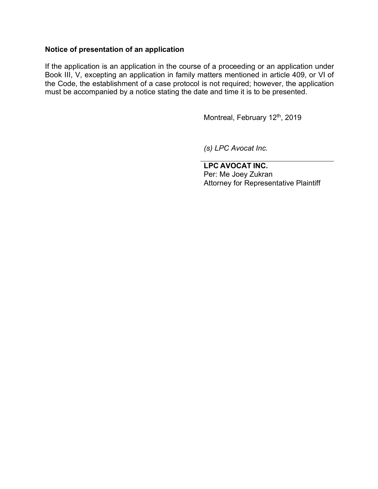## **Notice of presentation of an application**

If the application is an application in the course of a proceeding or an application under Book III, V, excepting an application in family matters mentioned in article 409, or VI of the Code, the establishment of a case protocol is not required; however, the application must be accompanied by a notice stating the date and time it is to be presented.

Montreal, February 12<sup>th</sup>, 2019

*(s) LPC Avocat Inc.*

**LPC AVOCAT INC.** Per: Me Joey Zukran Attorney for Representative Plaintiff